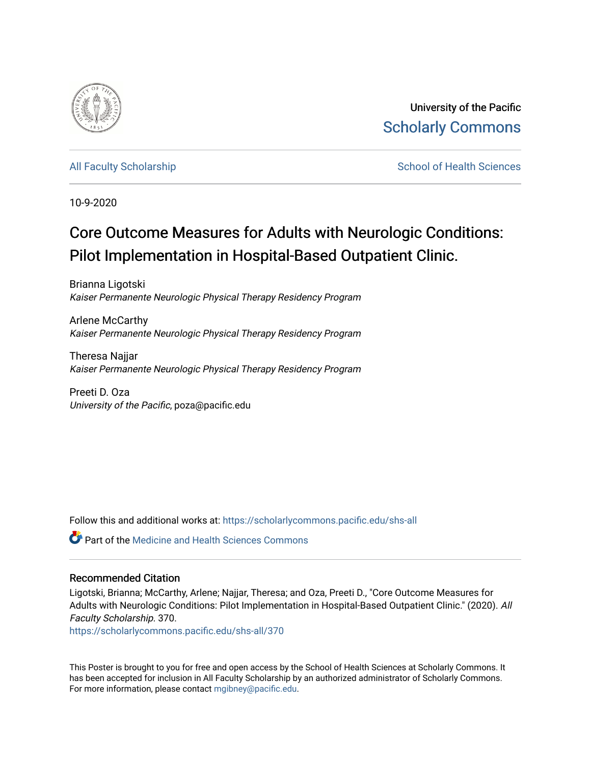

University of the Pacific [Scholarly Commons](https://scholarlycommons.pacific.edu/) 

[All Faculty Scholarship](https://scholarlycommons.pacific.edu/shs-all) Superintendent School of Health Sciences

10-9-2020

### Core Outcome Measures for Adults with Neurologic Conditions: Pilot Implementation in Hospital-Based Outpatient Clinic.

Brianna Ligotski Kaiser Permanente Neurologic Physical Therapy Residency Program

Arlene McCarthy Kaiser Permanente Neurologic Physical Therapy Residency Program

Theresa Najjar Kaiser Permanente Neurologic Physical Therapy Residency Program

Preeti D. Oza University of the Pacific, poza@pacific.edu

Follow this and additional works at: [https://scholarlycommons.pacific.edu/shs-all](https://scholarlycommons.pacific.edu/shs-all?utm_source=scholarlycommons.pacific.edu%2Fshs-all%2F370&utm_medium=PDF&utm_campaign=PDFCoverPages)

**C** Part of the Medicine and Health Sciences Commons

### Recommended Citation

Ligotski, Brianna; McCarthy, Arlene; Najjar, Theresa; and Oza, Preeti D., "Core Outcome Measures for Adults with Neurologic Conditions: Pilot Implementation in Hospital-Based Outpatient Clinic." (2020). All Faculty Scholarship. 370.

[https://scholarlycommons.pacific.edu/shs-all/370](https://scholarlycommons.pacific.edu/shs-all/370?utm_source=scholarlycommons.pacific.edu%2Fshs-all%2F370&utm_medium=PDF&utm_campaign=PDFCoverPages)

This Poster is brought to you for free and open access by the School of Health Sciences at Scholarly Commons. It has been accepted for inclusion in All Faculty Scholarship by an authorized administrator of Scholarly Commons. For more information, please contact [mgibney@pacific.edu.](mailto:mgibney@pacific.edu)